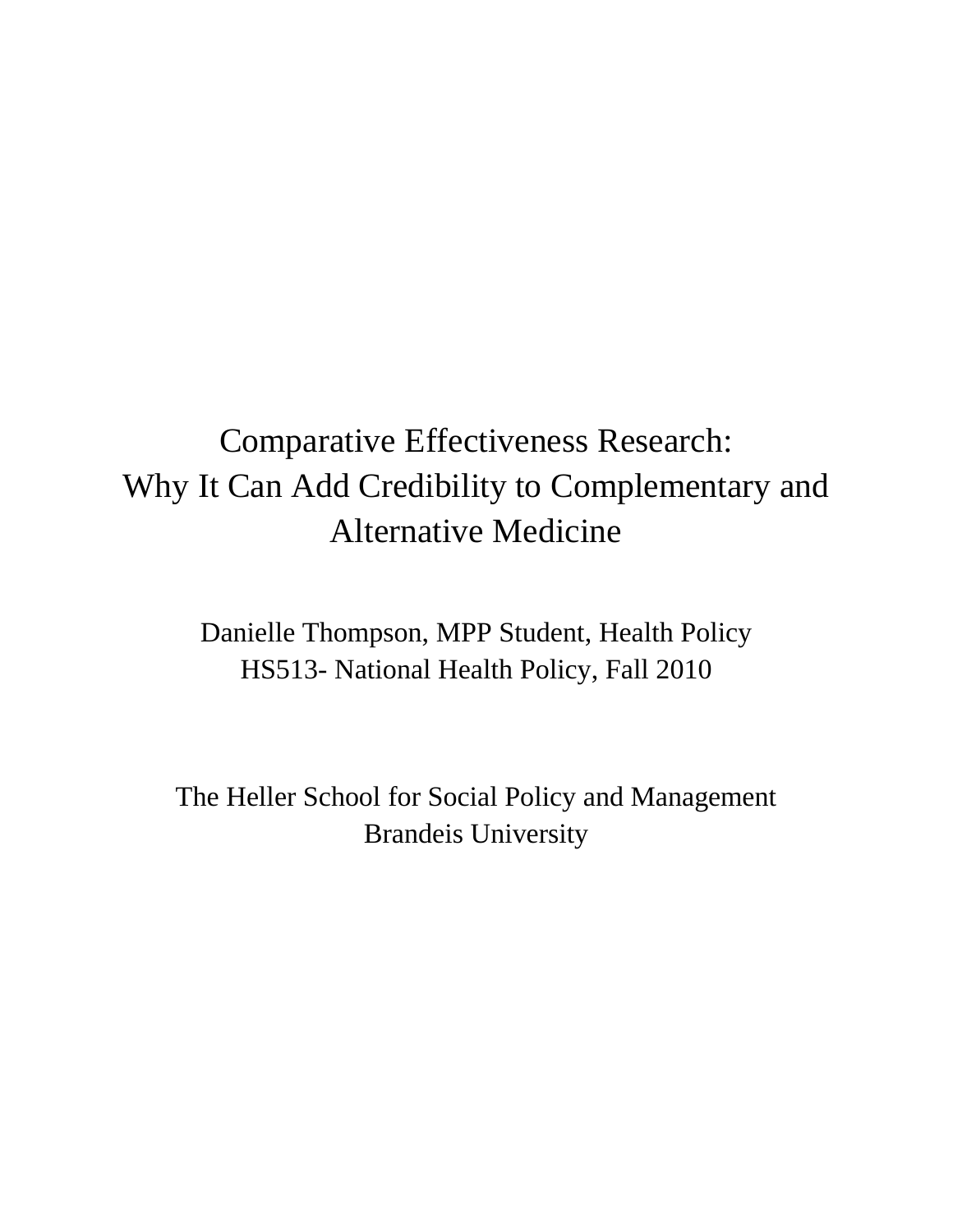# Comparative Effectiveness Research: Why It Can Add Credibility to Complementary and Alternative Medicine

Danielle Thompson, MPP Student, Health Policy HS513- National Health Policy, Fall 2010

The Heller School for Social Policy and Management Brandeis University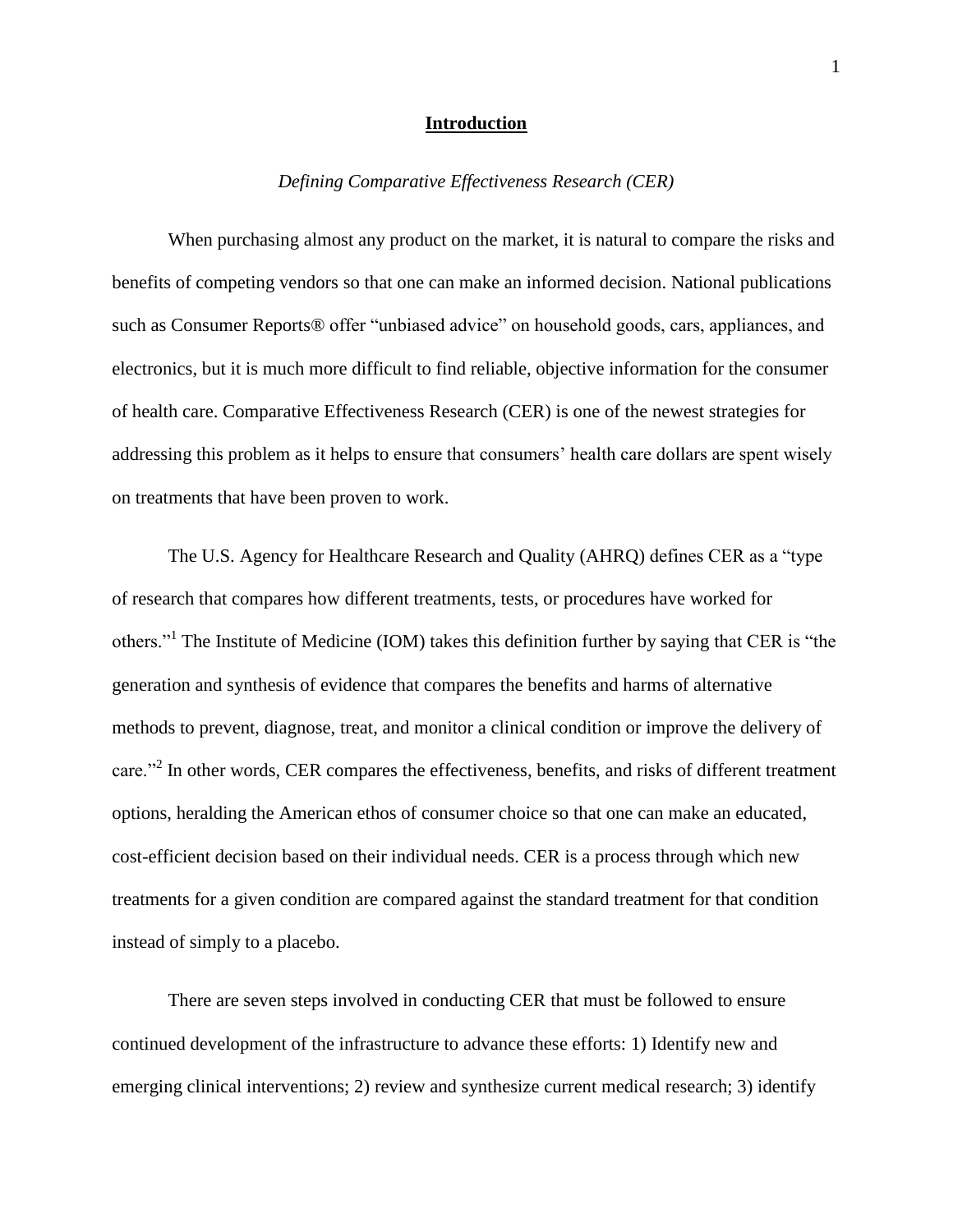# **Introduction**

# *Defining Comparative Effectiveness Research (CER)*

When purchasing almost any product on the market, it is natural to compare the risks and benefits of competing vendors so that one can make an informed decision. National publications such as Consumer Reports® offer "unbiased advice" on household goods, cars, appliances, and electronics, but it is much more difficult to find reliable, objective information for the consumer of health care. Comparative Effectiveness Research (CER) is one of the newest strategies for addressing this problem as it helps to ensure that consumers' health care dollars are spent wisely on treatments that have been proven to work.

The U.S. Agency for Healthcare Research and Quality (AHRQ) defines CER as a "type of research that compares how different treatments, tests, or procedures have worked for others."<sup>1</sup> The Institute of Medicine (IOM) takes this definition further by saying that CER is "the generation and synthesis of evidence that compares the benefits and harms of alternative methods to prevent, diagnose, treat, and monitor a clinical condition or improve the delivery of care."<sup>2</sup> In other words, CER compares the effectiveness, benefits, and risks of different treatment options, heralding the American ethos of consumer choice so that one can make an educated, cost-efficient decision based on their individual needs. CER is a process through which new treatments for a given condition are compared against the standard treatment for that condition instead of simply to a placebo.

There are seven steps involved in conducting CER that must be followed to ensure continued development of the infrastructure to advance these efforts: 1) Identify new and emerging clinical interventions; 2) review and synthesize current medical research; 3) identify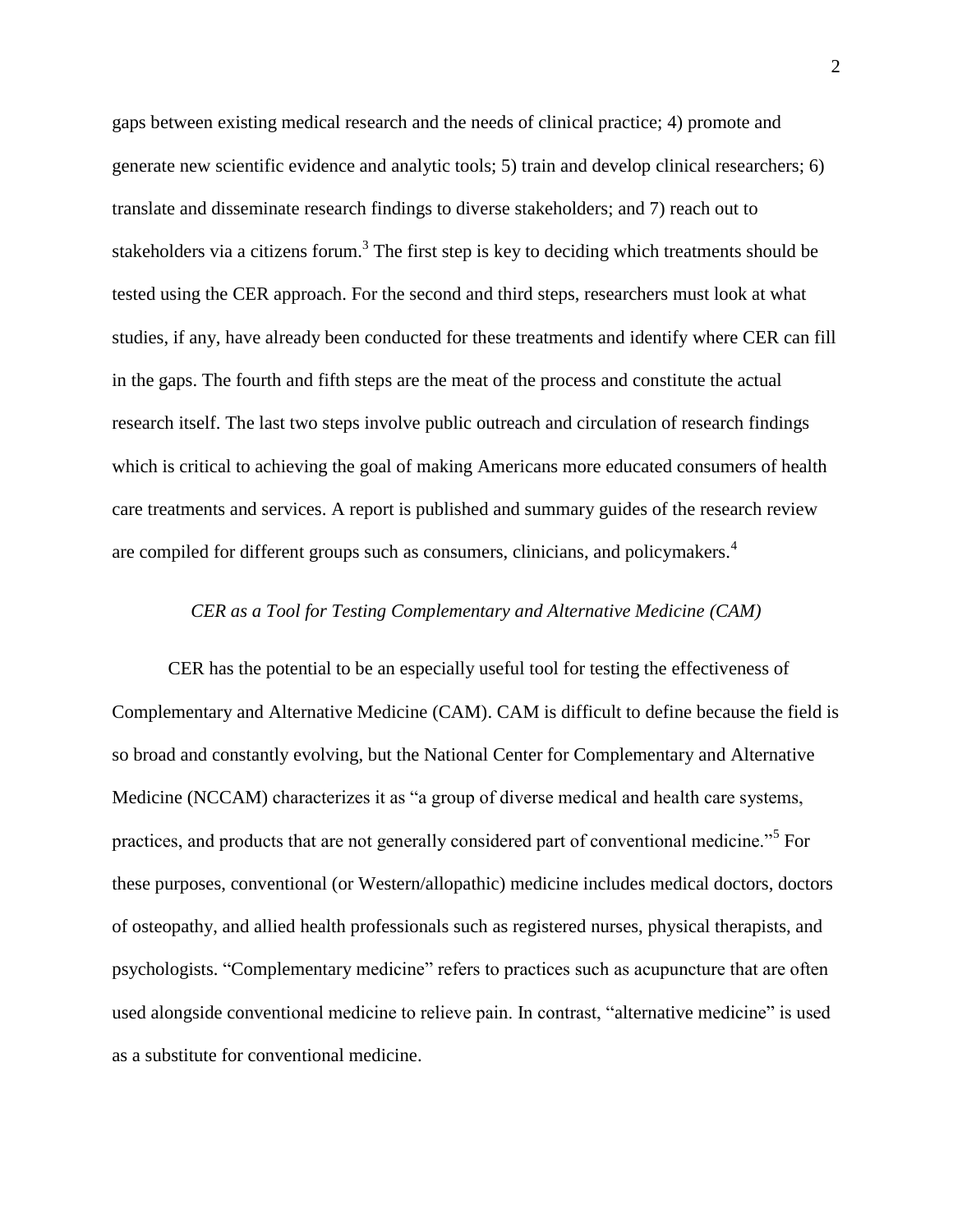gaps between existing medical research and the needs of clinical practice; 4) promote and generate new scientific evidence and analytic tools; 5) train and develop clinical researchers; 6) translate and disseminate research findings to diverse stakeholders; and 7) reach out to stakeholders via a citizens forum.<sup>3</sup> The first step is key to deciding which treatments should be tested using the CER approach. For the second and third steps, researchers must look at what studies, if any, have already been conducted for these treatments and identify where CER can fill in the gaps. The fourth and fifth steps are the meat of the process and constitute the actual research itself. The last two steps involve public outreach and circulation of research findings which is critical to achieving the goal of making Americans more educated consumers of health care treatments and services. A report is published and summary guides of the research review are compiled for different groups such as consumers, clinicians, and policymakers.<sup>4</sup>

# *CER as a Tool for Testing Complementary and Alternative Medicine (CAM)*

CER has the potential to be an especially useful tool for testing the effectiveness of Complementary and Alternative Medicine (CAM). CAM is difficult to define because the field is so broad and constantly evolving, but the National Center for Complementary and Alternative Medicine (NCCAM) characterizes it as "a group of diverse medical and health care systems, practices, and products that are not generally considered part of conventional medicine."<sup>5</sup> For these purposes, conventional (or Western/allopathic) medicine includes medical doctors, doctors of osteopathy, and allied health professionals such as registered nurses, physical therapists, and psychologists. "Complementary medicine" refers to practices such as acupuncture that are often used alongside conventional medicine to relieve pain. In contrast, "alternative medicine" is used as a substitute for conventional medicine.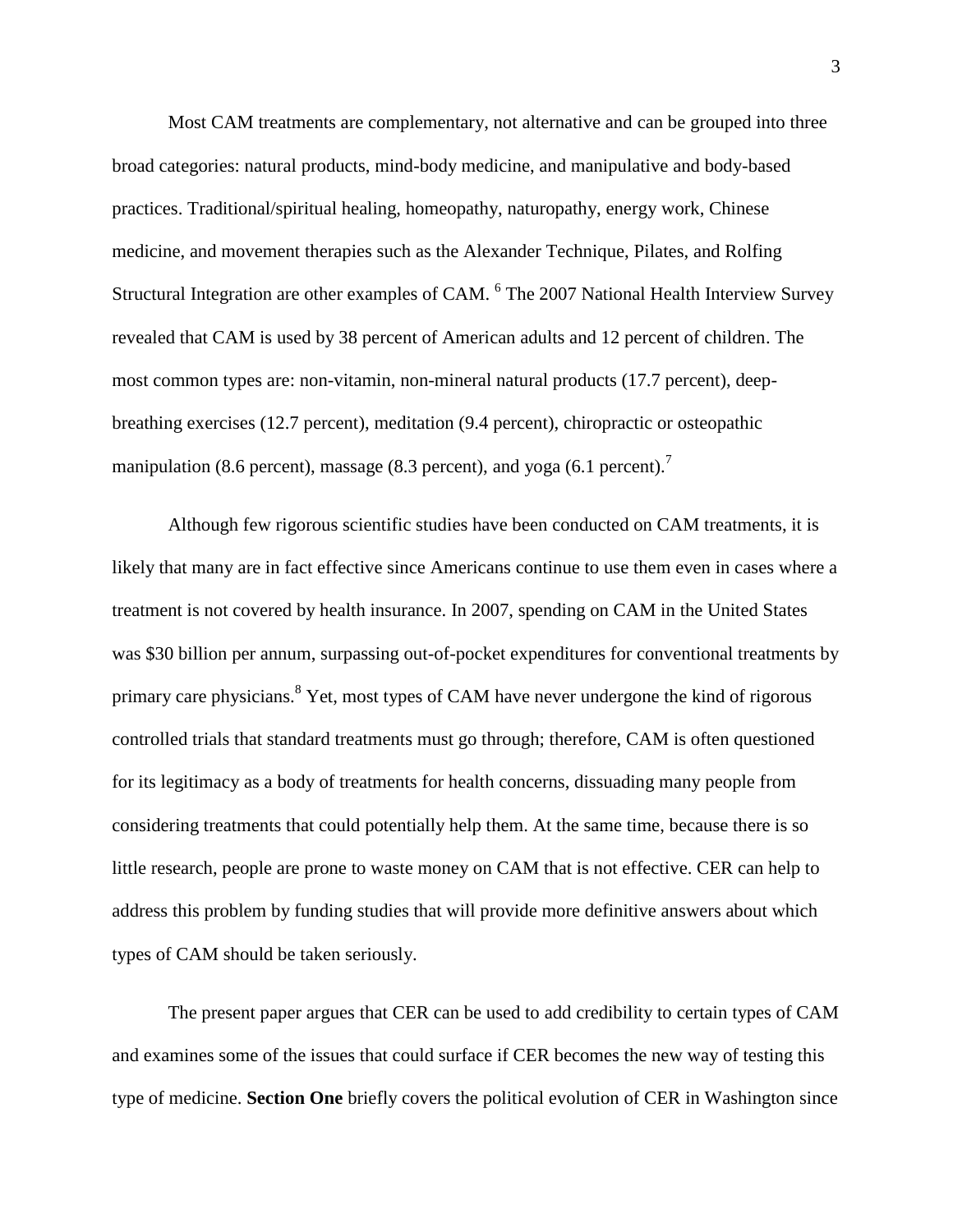Most CAM treatments are complementary, not alternative and can be grouped into three broad categories: natural products, mind-body medicine, and manipulative and body-based practices. Traditional/spiritual healing, homeopathy, naturopathy, energy work, Chinese medicine, and movement therapies such as the Alexander Technique, Pilates, and Rolfing Structural Integration are other examples of CAM. <sup>6</sup> The 2007 National Health Interview Survey revealed that CAM is used by 38 percent of American adults and 12 percent of children. The most common types are: non-vitamin, non-mineral natural products (17.7 percent), deepbreathing exercises (12.7 percent), meditation (9.4 percent), chiropractic or osteopathic manipulation (8.6 percent), massage (8.3 percent), and yoga (6.1 percent).<sup>7</sup>

Although few rigorous scientific studies have been conducted on CAM treatments, it is likely that many are in fact effective since Americans continue to use them even in cases where a treatment is not covered by health insurance. In 2007, spending on CAM in the United States was \$30 billion per annum, surpassing out-of-pocket expenditures for conventional treatments by primary care physicians.<sup>8</sup> Yet, most types of CAM have never undergone the kind of rigorous controlled trials that standard treatments must go through; therefore, CAM is often questioned for its legitimacy as a body of treatments for health concerns, dissuading many people from considering treatments that could potentially help them. At the same time, because there is so little research, people are prone to waste money on CAM that is not effective. CER can help to address this problem by funding studies that will provide more definitive answers about which types of CAM should be taken seriously.

The present paper argues that CER can be used to add credibility to certain types of CAM and examines some of the issues that could surface if CER becomes the new way of testing this type of medicine. **Section One** briefly covers the political evolution of CER in Washington since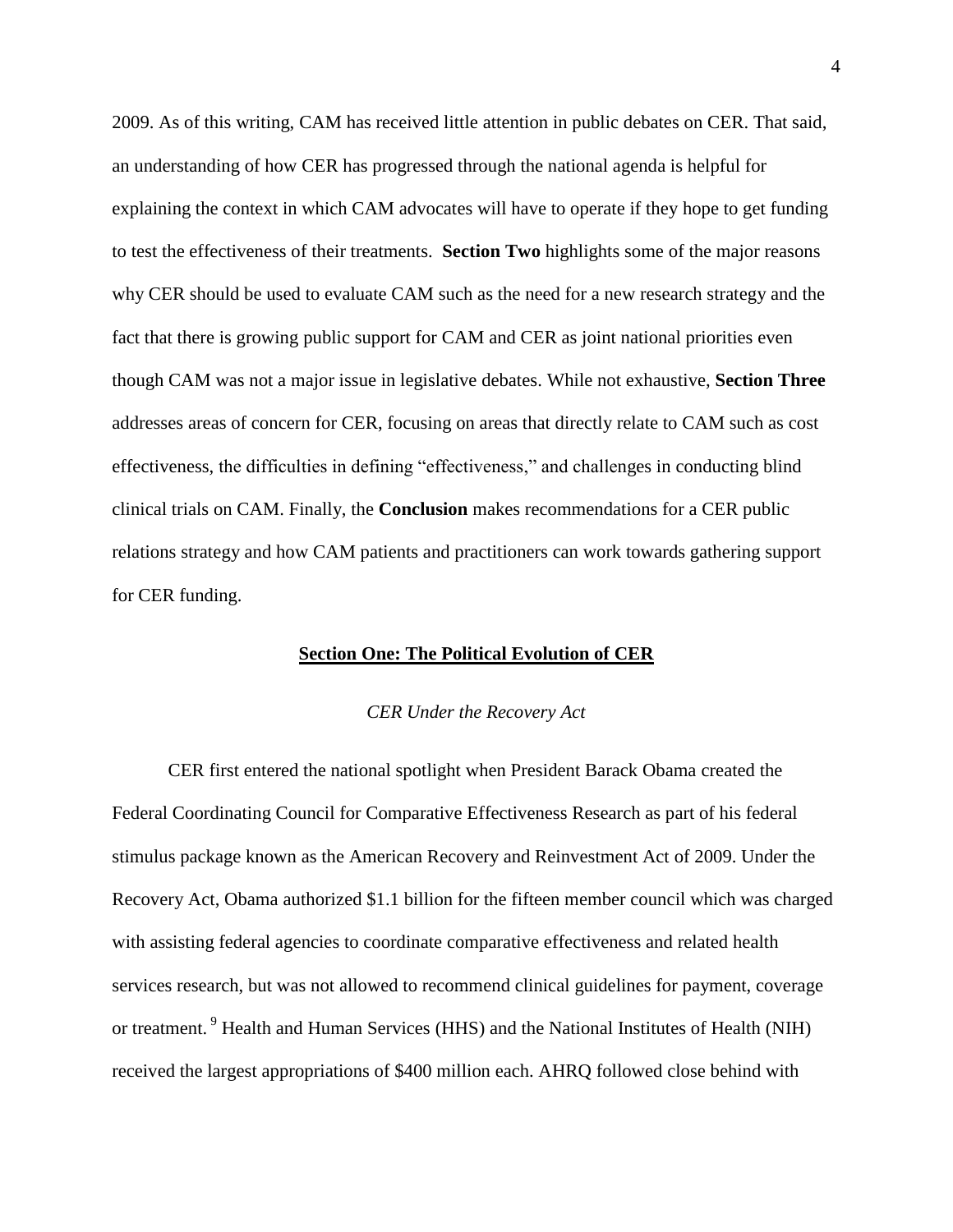2009. As of this writing, CAM has received little attention in public debates on CER. That said, an understanding of how CER has progressed through the national agenda is helpful for explaining the context in which CAM advocates will have to operate if they hope to get funding to test the effectiveness of their treatments. **Section Two** highlights some of the major reasons why CER should be used to evaluate CAM such as the need for a new research strategy and the fact that there is growing public support for CAM and CER as joint national priorities even though CAM was not a major issue in legislative debates. While not exhaustive, **Section Three** addresses areas of concern for CER, focusing on areas that directly relate to CAM such as cost effectiveness, the difficulties in defining "effectiveness," and challenges in conducting blind clinical trials on CAM. Finally, the **Conclusion** makes recommendations for a CER public relations strategy and how CAM patients and practitioners can work towards gathering support for CER funding.

#### **Section One: The Political Evolution of CER**

#### *CER Under the Recovery Act*

CER first entered the national spotlight when President Barack Obama created the Federal Coordinating Council for Comparative Effectiveness Research as part of his federal stimulus package known as the American Recovery and Reinvestment Act of 2009. Under the Recovery Act, Obama authorized \$1.1 billion for the fifteen member council which was charged with assisting federal agencies to coordinate comparative effectiveness and related health services research, but was not allowed to recommend clinical guidelines for payment, coverage or treatment.<sup>9</sup> Health and Human Services (HHS) and the National Institutes of Health (NIH) received the largest appropriations of \$400 million each. AHRQ followed close behind with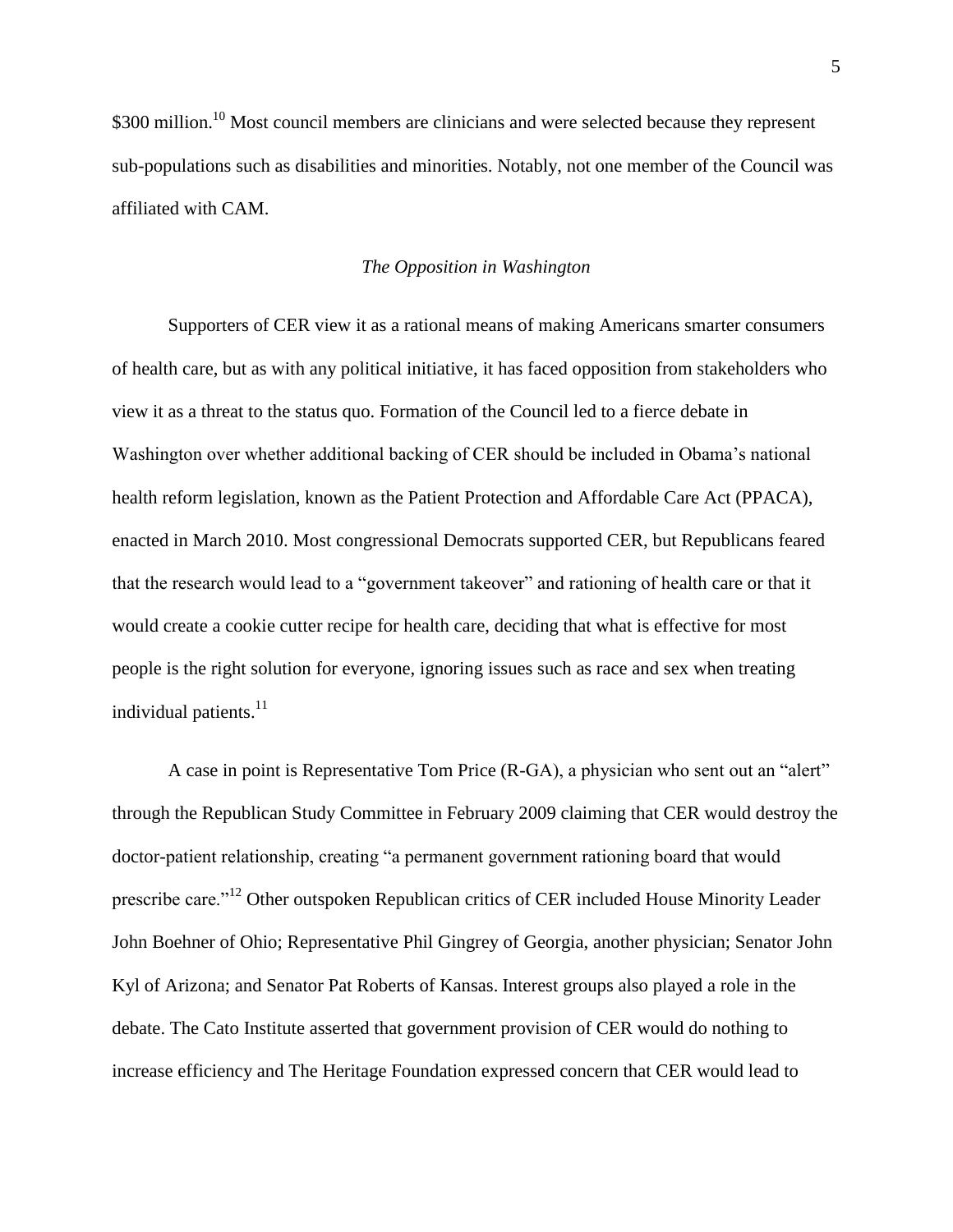\$300 million.<sup>10</sup> Most council members are clinicians and were selected because they represent sub-populations such as disabilities and minorities. Notably, not one member of the Council was affiliated with CAM.

#### *The Opposition in Washington*

Supporters of CER view it as a rational means of making Americans smarter consumers of health care, but as with any political initiative, it has faced opposition from stakeholders who view it as a threat to the status quo. Formation of the Council led to a fierce debate in Washington over whether additional backing of CER should be included in Obama's national health reform legislation, known as the Patient Protection and Affordable Care Act (PPACA), enacted in March 2010. Most congressional Democrats supported CER, but Republicans feared that the research would lead to a "government takeover" and rationing of health care or that it would create a cookie cutter recipe for health care, deciding that what is effective for most people is the right solution for everyone, ignoring issues such as race and sex when treating individual patients.<sup>11</sup>

A case in point is Representative Tom Price (R-GA), a physician who sent out an "alert" through the Republican Study Committee in February 2009 claiming that CER would destroy the doctor-patient relationship, creating "a permanent government rationing board that would prescribe care."<sup>12</sup> Other outspoken Republican critics of CER included House Minority Leader John Boehner of Ohio; Representative Phil Gingrey of Georgia, another physician; Senator John Kyl of Arizona; and Senator Pat Roberts of Kansas. Interest groups also played a role in the debate. The Cato Institute asserted that government provision of CER would do nothing to increase efficiency and The Heritage Foundation expressed concern that CER would lead to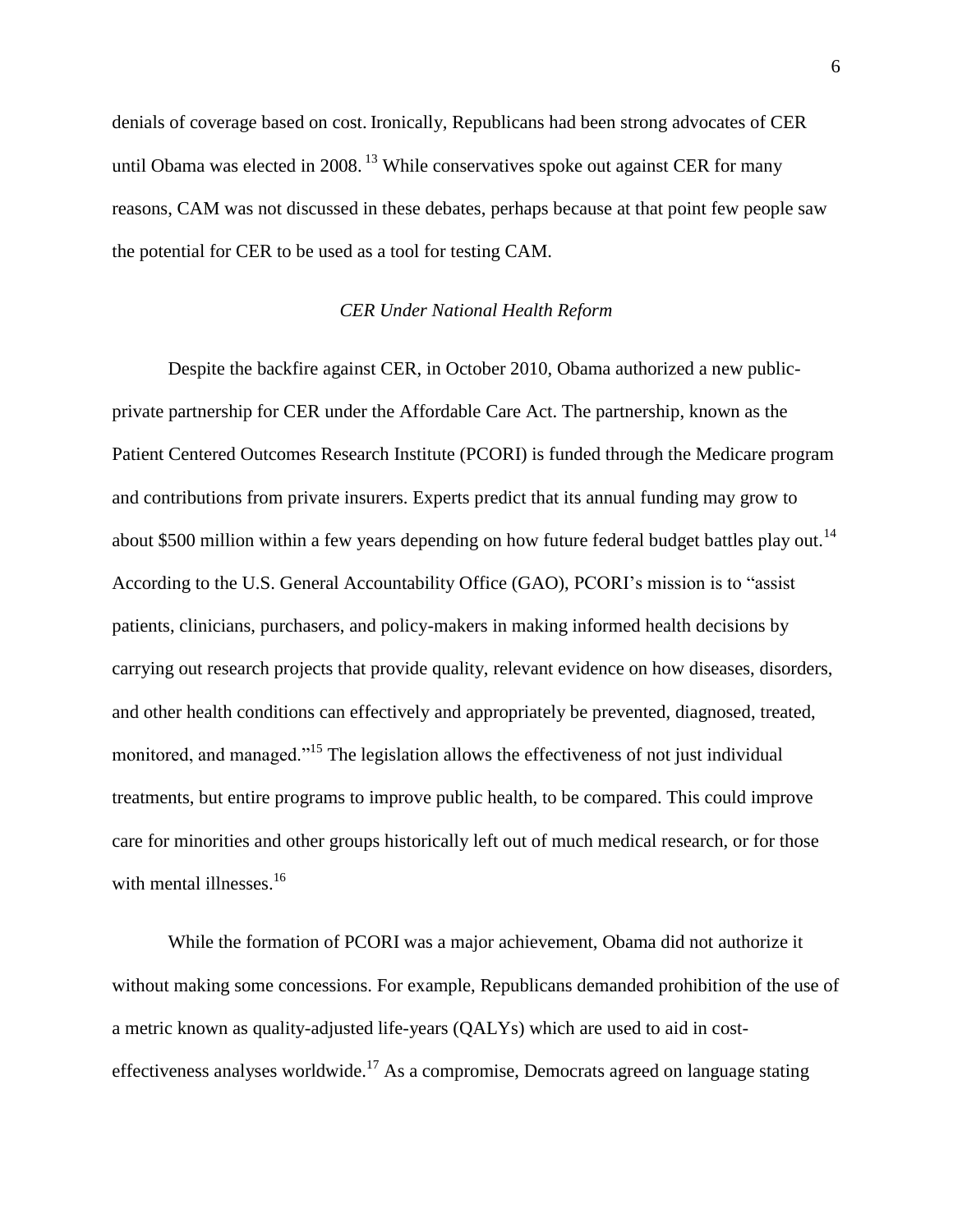denials of coverage based on cost. Ironically, Republicans had been strong advocates of CER until Obama was elected in 2008.<sup>13</sup> While conservatives spoke out against CER for many reasons, CAM was not discussed in these debates, perhaps because at that point few people saw the potential for CER to be used as a tool for testing CAM.

# *CER Under National Health Reform*

Despite the backfire against CER, in October 2010, Obama authorized a new publicprivate partnership for CER under the Affordable Care Act. The partnership, known as the Patient Centered Outcomes Research Institute (PCORI) is funded through the Medicare program and contributions from private insurers. Experts predict that its annual funding may grow to about \$500 million within a few years depending on how future federal budget battles play out.<sup>14</sup> According to the U.S. General Accountability Office (GAO), PCORI's mission is to "assist patients, clinicians, purchasers, and policy-makers in making informed health decisions by carrying out research projects that provide quality, relevant evidence on how diseases, disorders, and other health conditions can effectively and appropriately be prevented, diagnosed, treated, monitored, and managed."<sup>15</sup> The legislation allows the effectiveness of not just individual treatments, but entire programs to improve public health, to be compared. This could improve care for minorities and other groups historically left out of much medical research, or for those with mental illnesses. $16$ 

While the formation of PCORI was a major achievement, Obama did not authorize it without making some concessions. For example, Republicans demanded prohibition of the use of a metric known as quality-adjusted life-years (QALYs) which are used to aid in costeffectiveness analyses worldwide.<sup>17</sup> As a compromise, Democrats agreed on language stating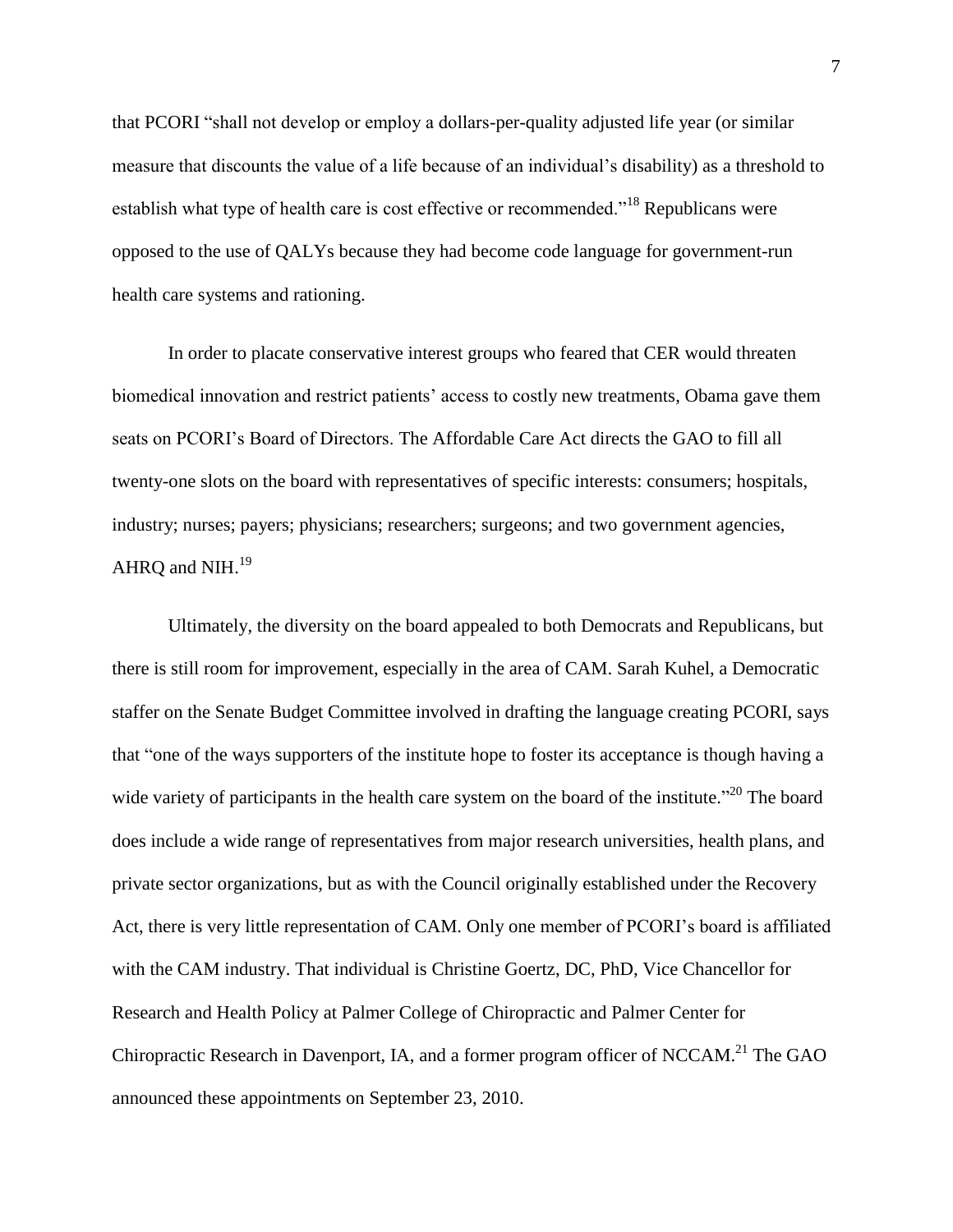that PCORI "shall not develop or employ a dollars-per-quality adjusted life year (or similar measure that discounts the value of a life because of an individual's disability) as a threshold to establish what type of health care is cost effective or recommended."<sup>18</sup> Republicans were opposed to the use of QALYs because they had become code language for government-run health care systems and rationing.

In order to placate conservative interest groups who feared that CER would threaten biomedical innovation and restrict patients' access to costly new treatments, Obama gave them seats on PCORI's Board of Directors. The Affordable Care Act directs the GAO to fill all twenty-one slots on the board with representatives of specific interests: consumers; hospitals, industry; nurses; payers; physicians; researchers; surgeons; and two government agencies, AHRQ and NIH. $^{19}$ 

Ultimately, the diversity on the board appealed to both Democrats and Republicans, but there is still room for improvement, especially in the area of CAM. Sarah Kuhel, a Democratic staffer on the Senate Budget Committee involved in drafting the language creating PCORI, says that "one of the ways supporters of the institute hope to foster its acceptance is though having a wide variety of participants in the health care system on the board of the institute.<sup> $20$ </sup> The board does include a wide range of representatives from major research universities, health plans, and private sector organizations, but as with the Council originally established under the Recovery Act, there is very little representation of CAM. Only one member of PCORI's board is affiliated with the CAM industry. That individual is Christine Goertz, DC, PhD, Vice Chancellor for Research and Health Policy at Palmer College of Chiropractic and Palmer Center for Chiropractic Research in Davenport, IA, and a former program officer of NCCAM.<sup>21</sup> The GAO announced these appointments on September 23, 2010.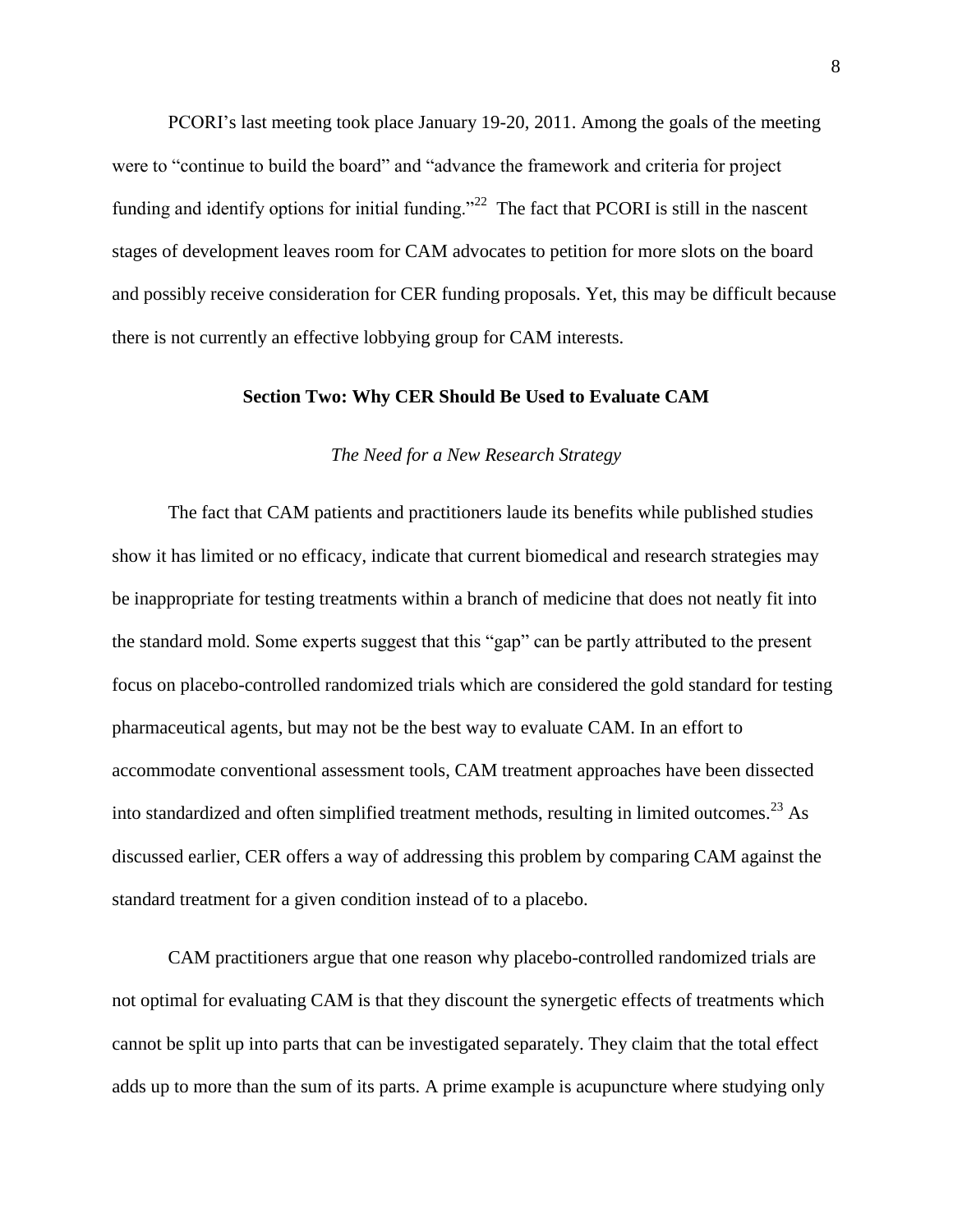PCORI's last meeting took place January 19-20, 2011. Among the goals of the meeting were to "continue to build the board" and "advance the framework and criteria for project funding and identify options for initial funding."<sup>22</sup> The fact that PCORI is still in the nascent stages of development leaves room for CAM advocates to petition for more slots on the board and possibly receive consideration for CER funding proposals. Yet, this may be difficult because there is not currently an effective lobbying group for CAM interests.

# **Section Two: Why CER Should Be Used to Evaluate CAM**

# *The Need for a New Research Strategy*

The fact that CAM patients and practitioners laude its benefits while published studies show it has limited or no efficacy, indicate that current biomedical and research strategies may be inappropriate for testing treatments within a branch of medicine that does not neatly fit into the standard mold. Some experts suggest that this "gap" can be partly attributed to the present focus on placebo-controlled randomized trials which are considered the gold standard for testing pharmaceutical agents, but may not be the best way to evaluate CAM. In an effort to accommodate conventional assessment tools, CAM treatment approaches have been dissected into standardized and often simplified treatment methods, resulting in limited outcomes.<sup>23</sup> As discussed earlier, CER offers a way of addressing this problem by comparing CAM against the standard treatment for a given condition instead of to a placebo.

CAM practitioners argue that one reason why placebo-controlled randomized trials are not optimal for evaluating CAM is that they discount the synergetic effects of treatments which cannot be split up into parts that can be investigated separately. They claim that the total effect adds up to more than the sum of its parts. A prime example is acupuncture where studying only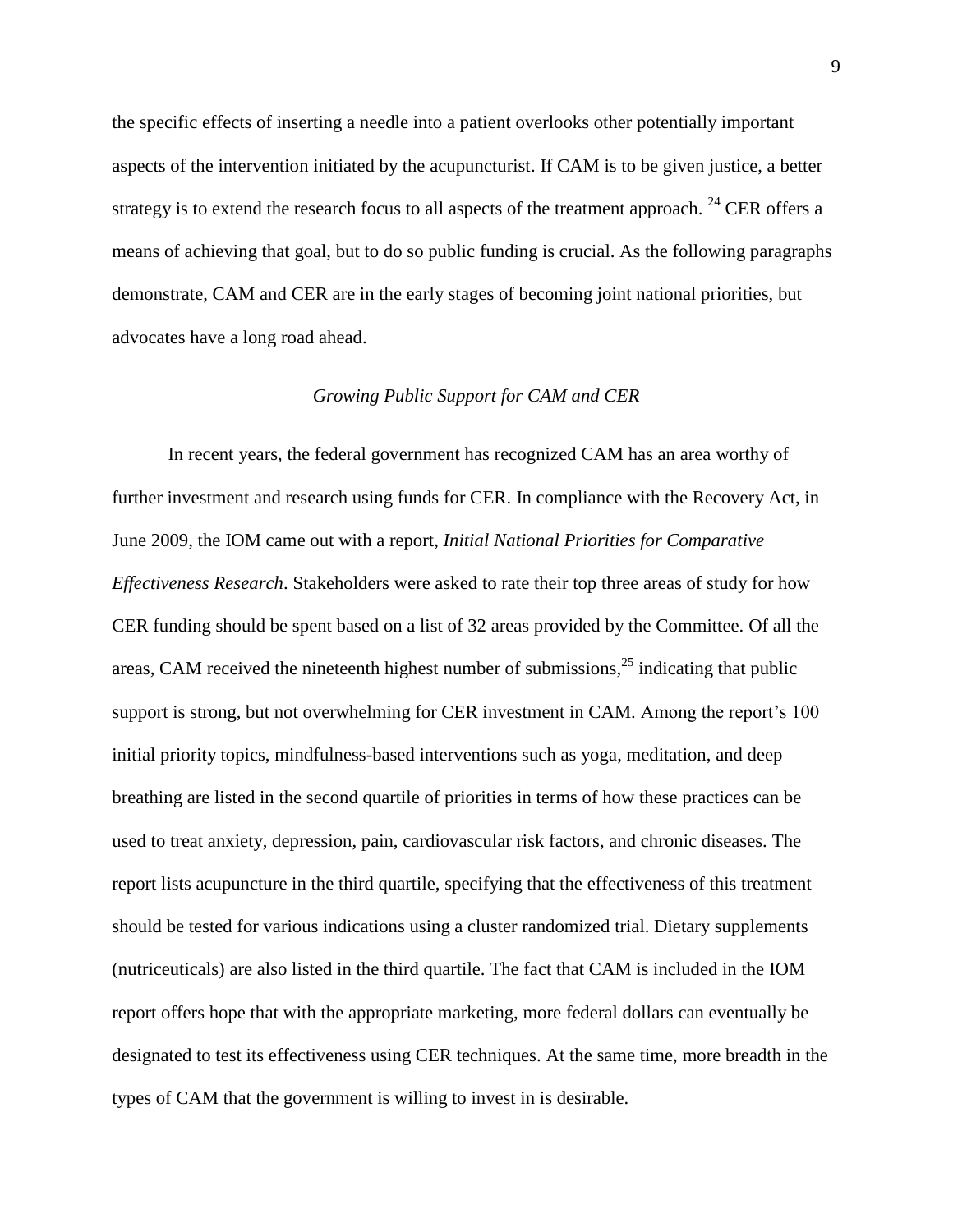the specific effects of inserting a needle into a patient overlooks other potentially important aspects of the intervention initiated by the acupuncturist. If CAM is to be given justice, a better strategy is to extend the research focus to all aspects of the treatment approach. <sup>24</sup> CER offers a means of achieving that goal, but to do so public funding is crucial. As the following paragraphs demonstrate, CAM and CER are in the early stages of becoming joint national priorities, but advocates have a long road ahead.

# *Growing Public Support for CAM and CER*

In recent years, the federal government has recognized CAM has an area worthy of further investment and research using funds for CER. In compliance with the Recovery Act, in June 2009, the IOM came out with a report, *Initial National Priorities for Comparative Effectiveness Research*. Stakeholders were asked to rate their top three areas of study for how CER funding should be spent based on a list of 32 areas provided by the Committee. Of all the areas, CAM received the nineteenth highest number of submissions,<sup>25</sup> indicating that public support is strong, but not overwhelming for CER investment in CAM. Among the report's 100 initial priority topics, mindfulness-based interventions such as yoga, meditation, and deep breathing are listed in the second quartile of priorities in terms of how these practices can be used to treat anxiety, depression, pain, cardiovascular risk factors, and chronic diseases. The report lists acupuncture in the third quartile, specifying that the effectiveness of this treatment should be tested for various indications using a cluster randomized trial. Dietary supplements (nutriceuticals) are also listed in the third quartile. The fact that CAM is included in the IOM report offers hope that with the appropriate marketing, more federal dollars can eventually be designated to test its effectiveness using CER techniques. At the same time, more breadth in the types of CAM that the government is willing to invest in is desirable.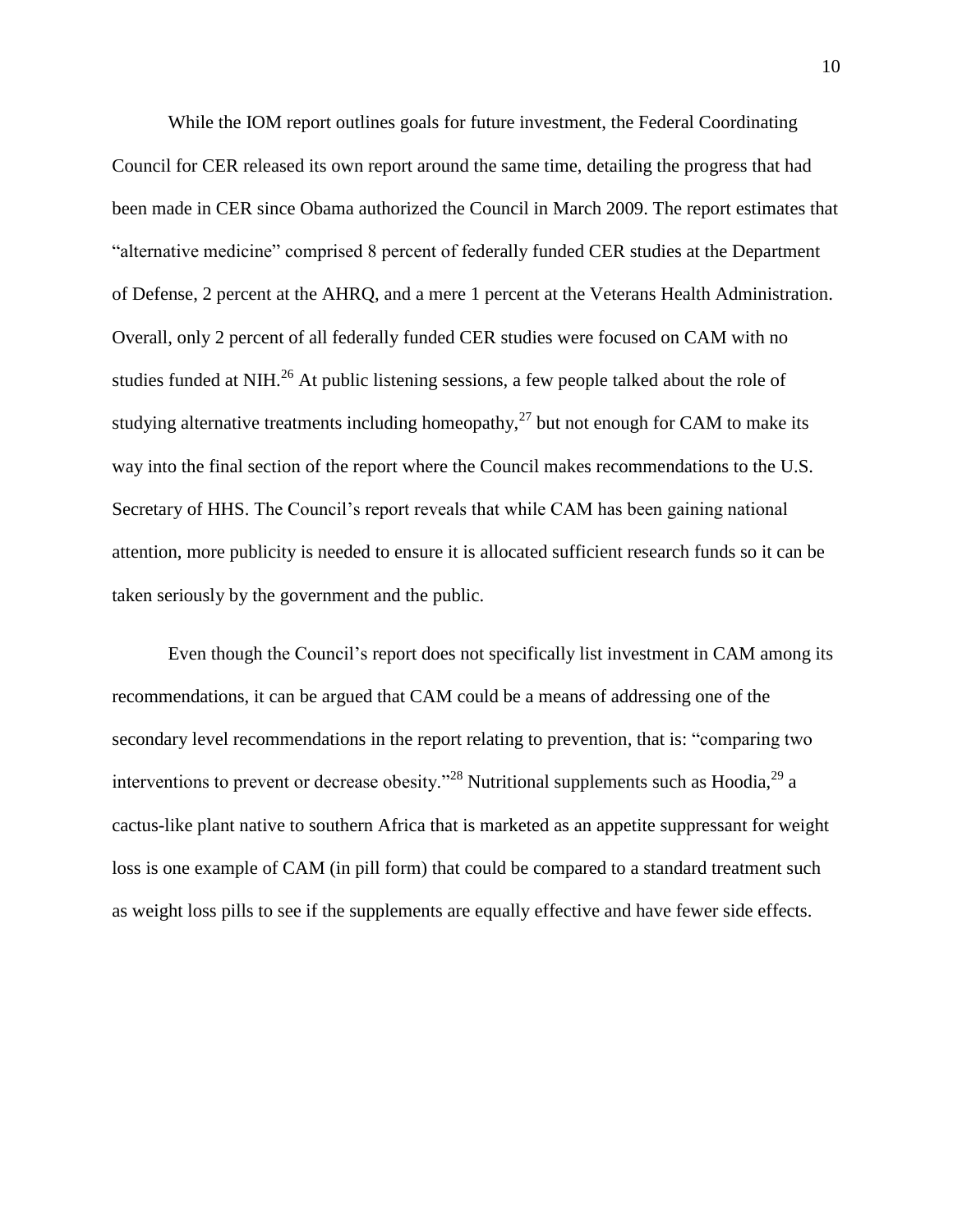While the IOM report outlines goals for future investment, the Federal Coordinating Council for CER released its own report around the same time, detailing the progress that had been made in CER since Obama authorized the Council in March 2009. The report estimates that "alternative medicine" comprised 8 percent of federally funded CER studies at the Department of Defense, 2 percent at the AHRQ, and a mere 1 percent at the Veterans Health Administration. Overall, only 2 percent of all federally funded CER studies were focused on CAM with no studies funded at NIH.<sup>26</sup> At public listening sessions, a few people talked about the role of studying alternative treatments including homeopathy,<sup>27</sup> but not enough for CAM to make its way into the final section of the report where the Council makes recommendations to the U.S. Secretary of HHS. The Council's report reveals that while CAM has been gaining national attention, more publicity is needed to ensure it is allocated sufficient research funds so it can be taken seriously by the government and the public.

Even though the Council's report does not specifically list investment in CAM among its recommendations, it can be argued that CAM could be a means of addressing one of the secondary level recommendations in the report relating to prevention, that is: "comparing two interventions to prevent or decrease obesity.<sup>28</sup> Nutritional supplements such as Hoodia,  $^{29}$  a cactus-like plant native to southern Africa that is marketed as an appetite suppressant for weight loss is one example of CAM (in pill form) that could be compared to a standard treatment such as weight loss pills to see if the supplements are equally effective and have fewer side effects.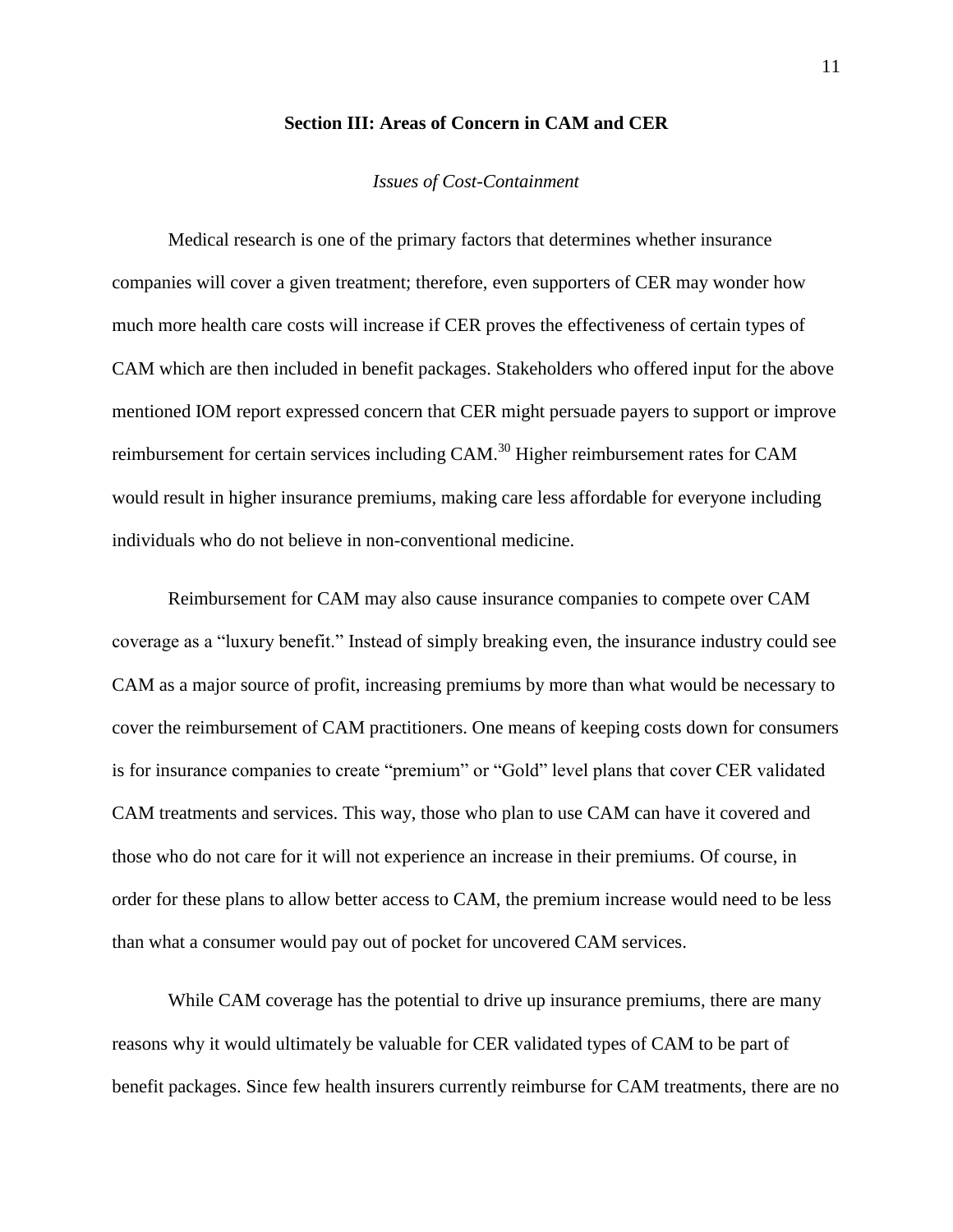# **Section III: Areas of Concern in CAM and CER**

## *Issues of Cost-Containment*

Medical research is one of the primary factors that determines whether insurance companies will cover a given treatment; therefore, even supporters of CER may wonder how much more health care costs will increase if CER proves the effectiveness of certain types of CAM which are then included in benefit packages. Stakeholders who offered input for the above mentioned IOM report expressed concern that CER might persuade payers to support or improve reimbursement for certain services including CAM.<sup>30</sup> Higher reimbursement rates for CAM would result in higher insurance premiums, making care less affordable for everyone including individuals who do not believe in non-conventional medicine.

Reimbursement for CAM may also cause insurance companies to compete over CAM coverage as a "luxury benefit." Instead of simply breaking even, the insurance industry could see CAM as a major source of profit, increasing premiums by more than what would be necessary to cover the reimbursement of CAM practitioners. One means of keeping costs down for consumers is for insurance companies to create "premium" or "Gold" level plans that cover CER validated CAM treatments and services. This way, those who plan to use CAM can have it covered and those who do not care for it will not experience an increase in their premiums. Of course, in order for these plans to allow better access to CAM, the premium increase would need to be less than what a consumer would pay out of pocket for uncovered CAM services.

While CAM coverage has the potential to drive up insurance premiums, there are many reasons why it would ultimately be valuable for CER validated types of CAM to be part of benefit packages. Since few health insurers currently reimburse for CAM treatments, there are no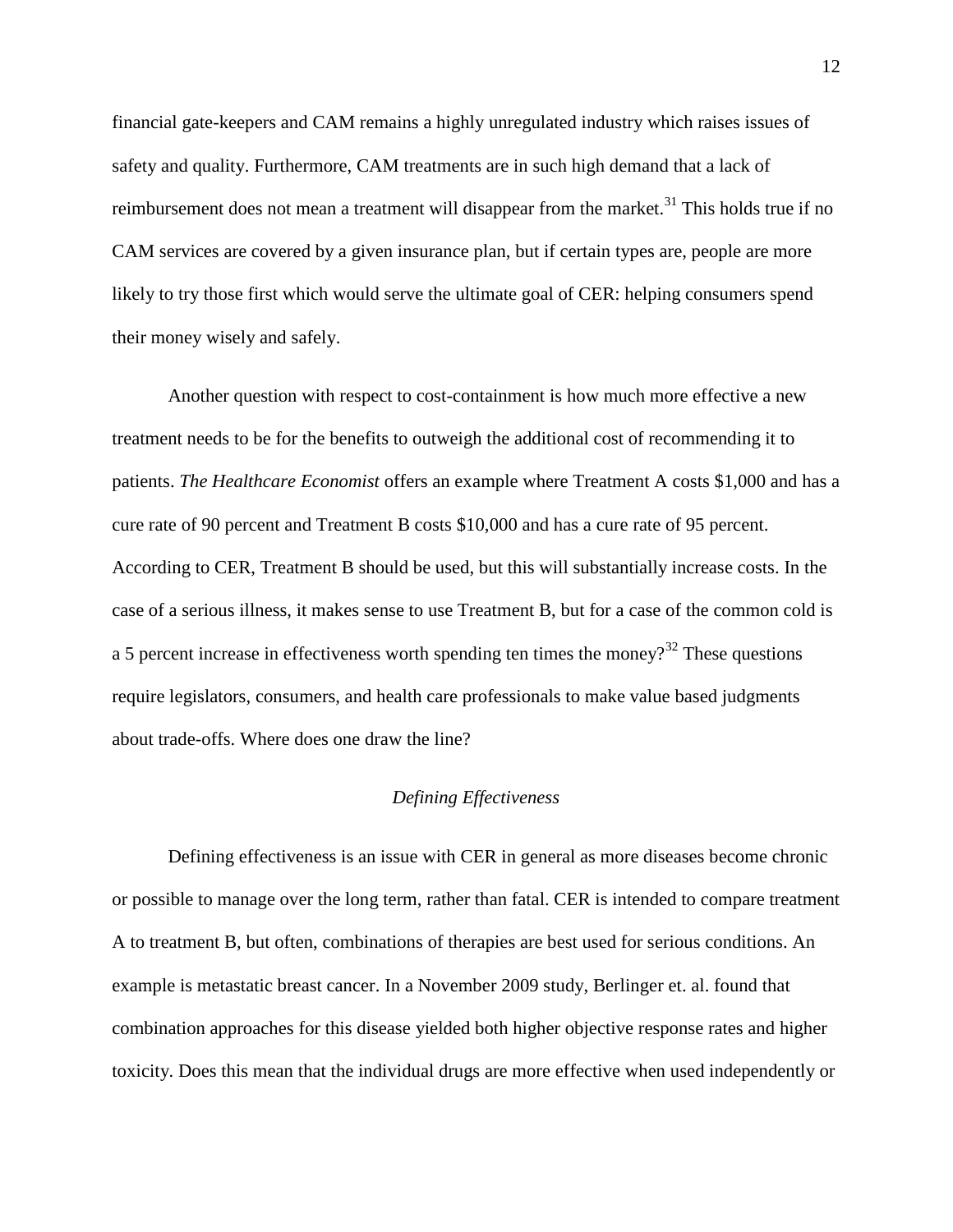financial gate-keepers and CAM remains a highly unregulated industry which raises issues of safety and quality. Furthermore, CAM treatments are in such high demand that a lack of reimbursement does not mean a treatment will disappear from the market.<sup>31</sup> This holds true if no CAM services are covered by a given insurance plan, but if certain types are, people are more likely to try those first which would serve the ultimate goal of CER: helping consumers spend their money wisely and safely.

Another question with respect to cost-containment is how much more effective a new treatment needs to be for the benefits to outweigh the additional cost of recommending it to patients. *The Healthcare Economist* offers an example where Treatment A costs \$1,000 and has a cure rate of 90 percent and Treatment B costs \$10,000 and has a cure rate of 95 percent. According to CER, Treatment B should be used, but this will substantially increase costs. In the case of a serious illness, it makes sense to use Treatment B, but for a case of the common cold is a 5 percent increase in effectiveness worth spending ten times the money?<sup>32</sup> These questions require legislators, consumers, and health care professionals to make value based judgments about trade-offs. Where does one draw the line?

# *Defining Effectiveness*

Defining effectiveness is an issue with CER in general as more diseases become chronic or possible to manage over the long term, rather than fatal. CER is intended to compare treatment A to treatment B, but often, combinations of therapies are best used for serious conditions. An example is metastatic breast cancer. In a November 2009 study, Berlinger et. al. found that combination approaches for this disease yielded both higher objective response rates and higher toxicity. Does this mean that the individual drugs are more effective when used independently or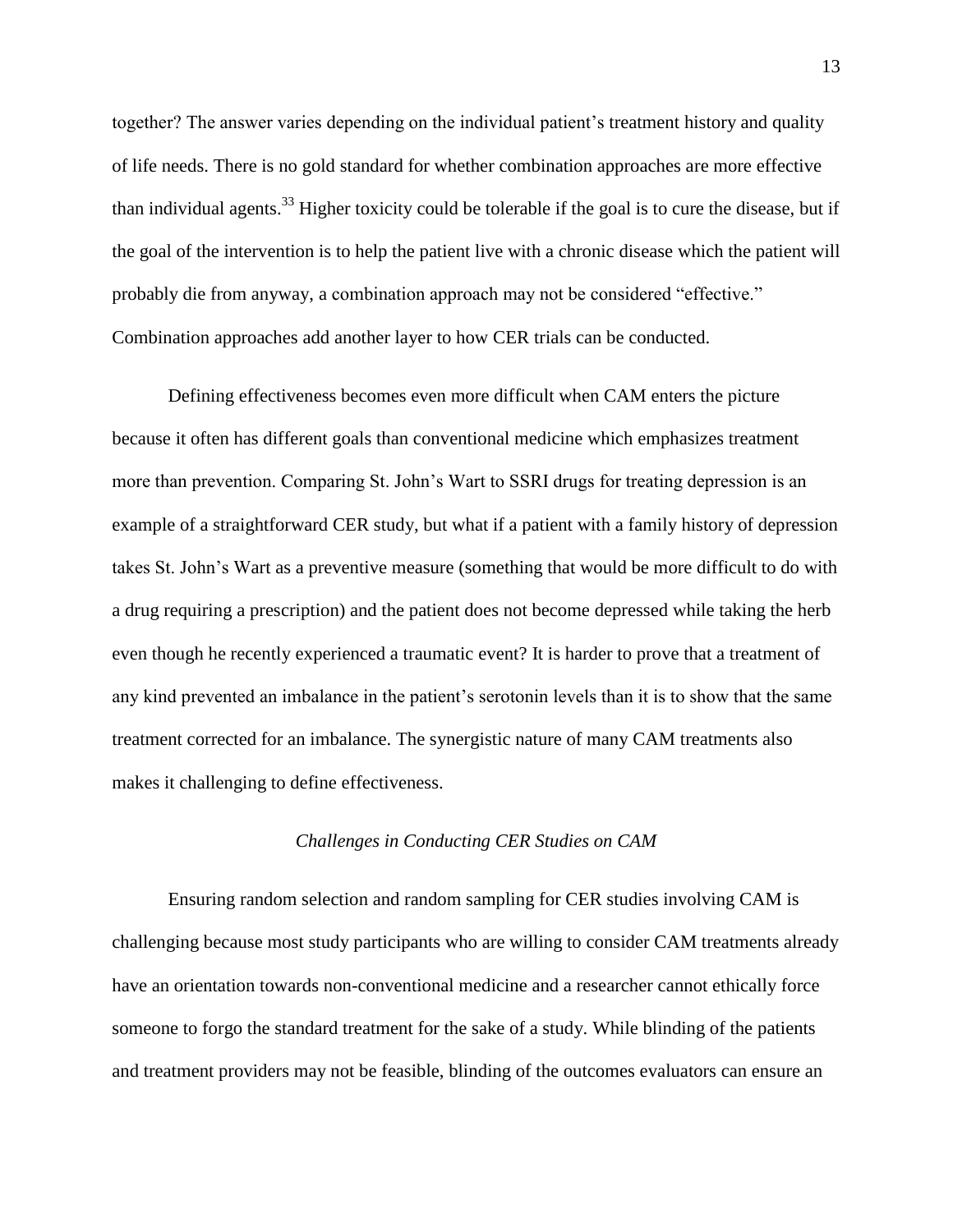together? The answer varies depending on the individual patient's treatment history and quality of life needs. There is no gold standard for whether combination approaches are more effective than individual agents.<sup>33</sup> Higher toxicity could be tolerable if the goal is to cure the disease, but if the goal of the intervention is to help the patient live with a chronic disease which the patient will probably die from anyway, a combination approach may not be considered "effective." Combination approaches add another layer to how CER trials can be conducted.

Defining effectiveness becomes even more difficult when CAM enters the picture because it often has different goals than conventional medicine which emphasizes treatment more than prevention. Comparing St. John's Wart to SSRI drugs for treating depression is an example of a straightforward CER study, but what if a patient with a family history of depression takes St. John's Wart as a preventive measure (something that would be more difficult to do with a drug requiring a prescription) and the patient does not become depressed while taking the herb even though he recently experienced a traumatic event? It is harder to prove that a treatment of any kind prevented an imbalance in the patient's serotonin levels than it is to show that the same treatment corrected for an imbalance. The synergistic nature of many CAM treatments also makes it challenging to define effectiveness.

# *Challenges in Conducting CER Studies on CAM*

Ensuring random selection and random sampling for CER studies involving CAM is challenging because most study participants who are willing to consider CAM treatments already have an orientation towards non-conventional medicine and a researcher cannot ethically force someone to forgo the standard treatment for the sake of a study. While blinding of the patients and treatment providers may not be feasible, blinding of the outcomes evaluators can ensure an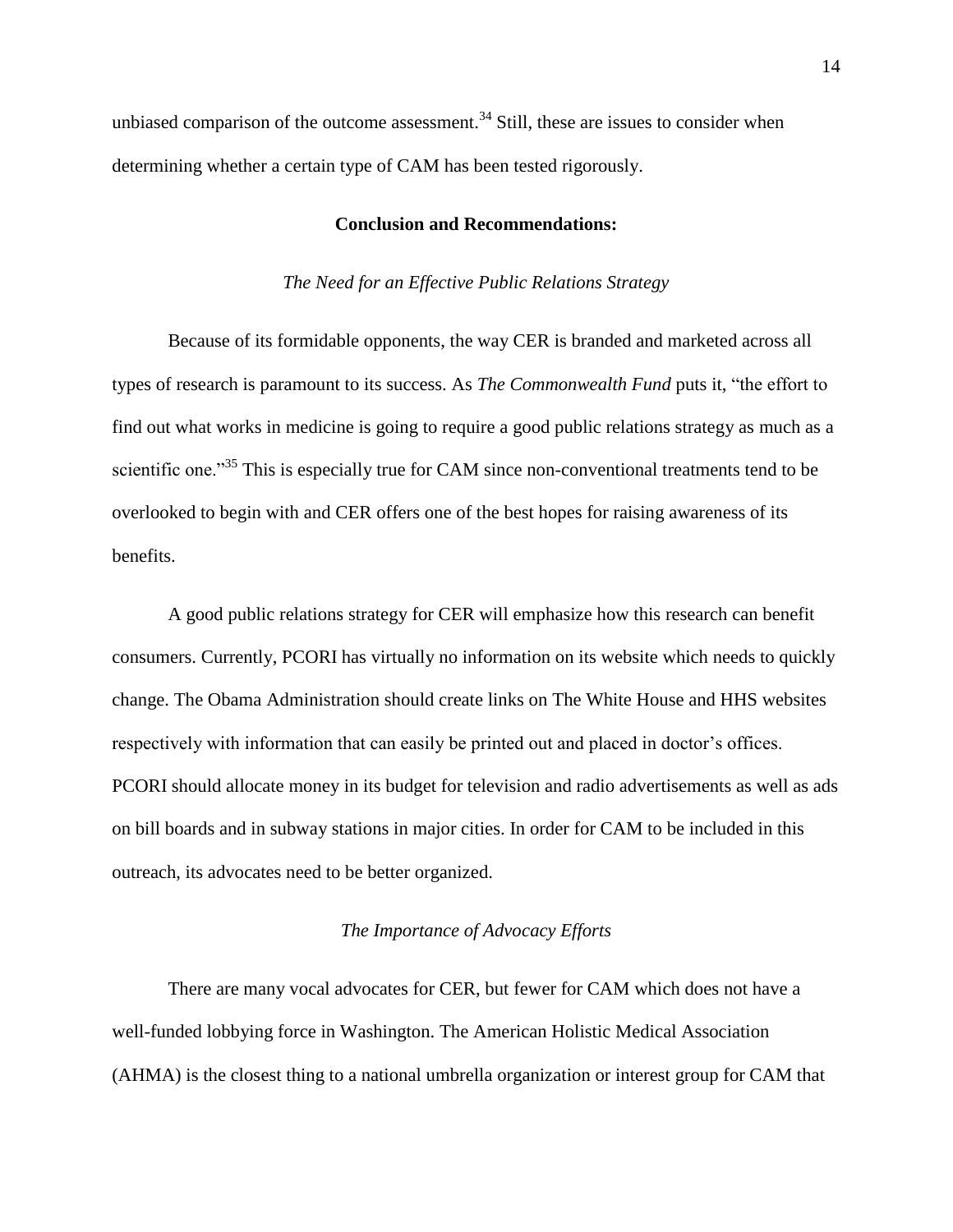unbiased comparison of the outcome assessment.<sup>34</sup> Still, these are issues to consider when determining whether a certain type of CAM has been tested rigorously.

# **Conclusion and Recommendations:**

## *The Need for an Effective Public Relations Strategy*

Because of its formidable opponents, the way CER is branded and marketed across all types of research is paramount to its success. As *The Commonwealth Fund* puts it, "the effort to find out what works in medicine is going to require a good public relations strategy as much as a scientific one."<sup>35</sup> This is especially true for CAM since non-conventional treatments tend to be overlooked to begin with and CER offers one of the best hopes for raising awareness of its benefits.

A good public relations strategy for CER will emphasize how this research can benefit consumers. Currently, PCORI has virtually no information on its website which needs to quickly change. The Obama Administration should create links on The White House and HHS websites respectively with information that can easily be printed out and placed in doctor's offices. PCORI should allocate money in its budget for television and radio advertisements as well as ads on bill boards and in subway stations in major cities. In order for CAM to be included in this outreach, its advocates need to be better organized.

# *The Importance of Advocacy Efforts*

There are many vocal advocates for CER, but fewer for CAM which does not have a well-funded lobbying force in Washington. The American Holistic Medical Association (AHMA) is the closest thing to a national umbrella organization or interest group for CAM that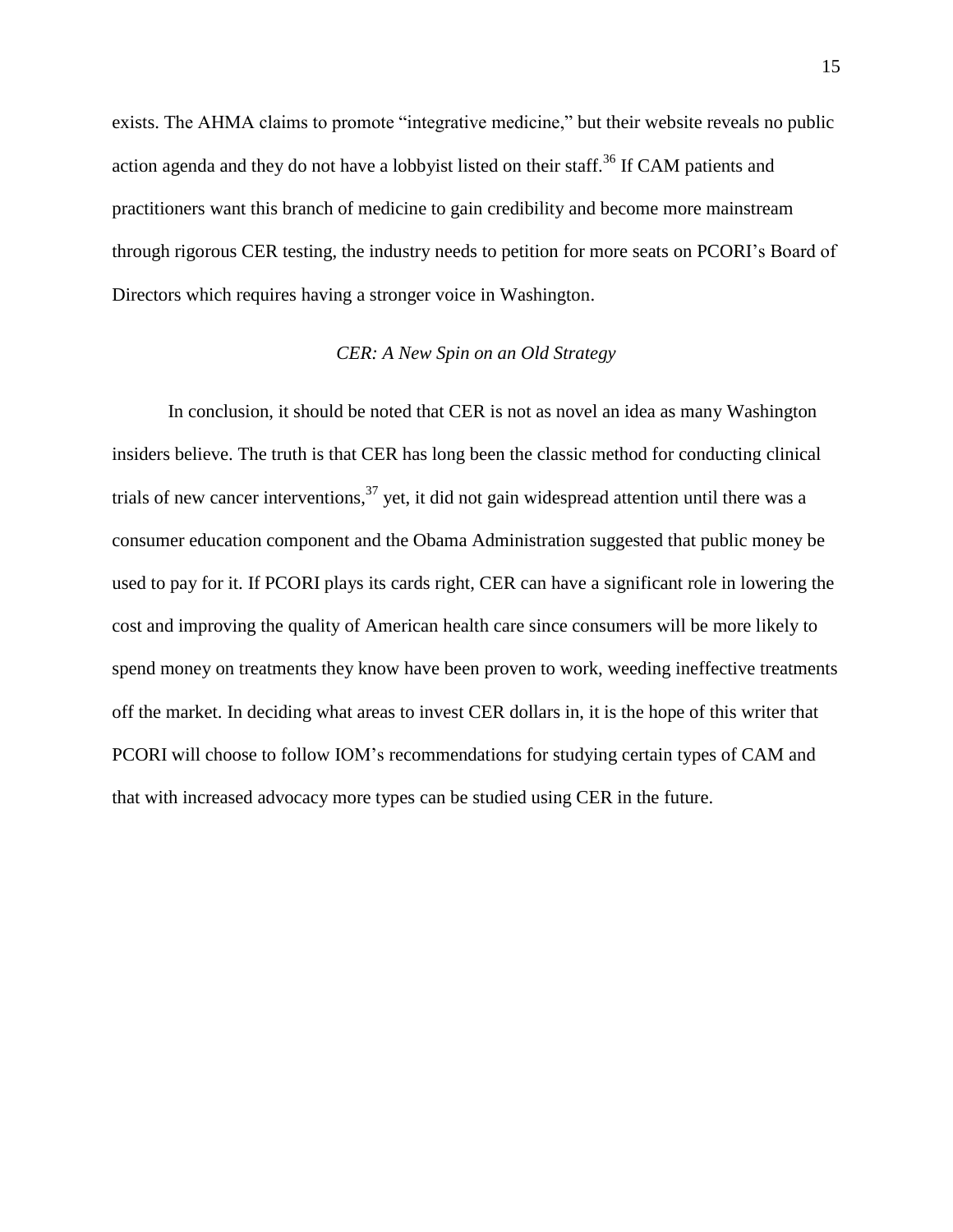exists. The AHMA claims to promote "integrative medicine," but their website reveals no public action agenda and they do not have a lobbyist listed on their staff.<sup>36</sup> If CAM patients and practitioners want this branch of medicine to gain credibility and become more mainstream through rigorous CER testing, the industry needs to petition for more seats on PCORI's Board of Directors which requires having a stronger voice in Washington.

#### *CER: A New Spin on an Old Strategy*

In conclusion, it should be noted that CER is not as novel an idea as many Washington insiders believe. The truth is that CER has long been the classic method for conducting clinical trials of new cancer interventions,  $37$  yet, it did not gain widespread attention until there was a consumer education component and the Obama Administration suggested that public money be used to pay for it. If PCORI plays its cards right, CER can have a significant role in lowering the cost and improving the quality of American health care since consumers will be more likely to spend money on treatments they know have been proven to work, weeding ineffective treatments off the market. In deciding what areas to invest CER dollars in, it is the hope of this writer that PCORI will choose to follow IOM's recommendations for studying certain types of CAM and that with increased advocacy more types can be studied using CER in the future.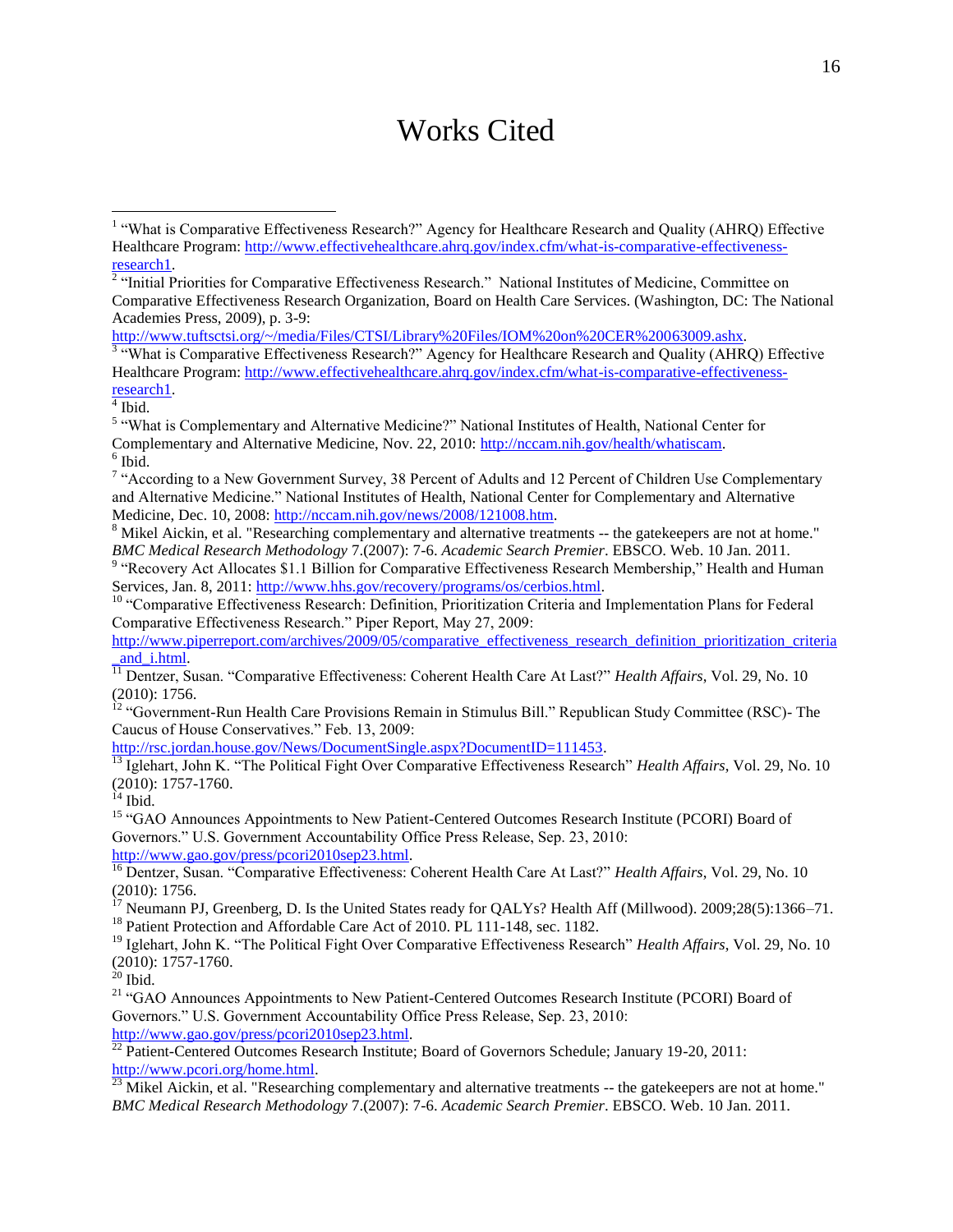# Works Cited

[http://www.tuftsctsi.org/~/media/Files/CTSI/Library%20Files/IOM%20on%20CER%20063009.ashx.](http://www.tuftsctsi.org/~/media/Files/CTSI/Library%20Files/IOM%20on%20CER%20063009.ashx)<br><sup>3</sup> "What is Comparative Effectiveness Research?" Agency for Healthcare Research and Quality (AHRQ) Effective Healthcare Program: [http://www.effectivehealthcare.ahrq.gov/index.cfm/what-is-comparative-effectiveness-](http://www.effectivehealthcare.ahrq.gov/index.cfm/what-is-comparative-effectiveness-research1)<mark><sup>4</sup> Ibid.</mark>

l

<sup>8</sup> Mikel Aickin, et al. "Researching complementary and alternative treatments -- the gatekeepers are not at home." *BMC Medical Research Methodology* 7.(2007): 7-6. *Academic Search Premier*. EBSCO. Web. 10 Jan. 2011.<br><sup>9</sup> "Recovery Act Allocates \$1.1 Billion for Comparative Effectiveness Research Membership," Health and Human

Services, Jan. 8, 2011[: http://www.hhs.gov/recovery/programs/os/cerbios.html.](http://www.hhs.gov/recovery/programs/os/cerbios.html) 

<sup>10</sup> "Comparative Effectiveness Research: Definition, Prioritization Criteria and Implementation Plans for Federal Comparative Effectiveness Research." Piper Report, May 27, 2009:

[http://www.piperreport.com/archives/2009/05/comparative\\_effectiveness\\_research\\_definition\\_prioritization\\_criteria](http://www.piperreport.com/archives/2009/05/comparative_effectiveness_research_definition_prioritization_criteria_and_i.html) [\\_and\\_i.html.](http://www.piperreport.com/archives/2009/05/comparative_effectiveness_research_definition_prioritization_criteria_and_i.html)

<sup>11</sup> Dentzer, Susan. "Comparative Effectiveness: Coherent Health Care At Last?" *Health Affairs*, Vol. 29, No. 10 (2010): 1756.

<sup>12</sup> "Government-Run Health Care Provisions Remain in Stimulus Bill." Republican Study Committee (RSC)-The Caucus of House Conservatives." Feb. 13, 2009:

[http://rsc.jordan.house.gov/News/DocumentSingle.aspx?DocumentID=111453.](http://rsc.jordan.house.gov/News/DocumentSingle.aspx?DocumentID=111453)<br> $\frac{13}{13}$ Jolehart John K "The Dolltiers Fight O

<sup>13</sup> Iglehart, John K. "The Political Fight Over Comparative Effectiveness Research" *Health Affairs*, Vol. 29, No. 10 (2010): 1757-1760.

 $14$  Ibid.

<sup>15</sup> "GAO Announces Appointments to New Patient-Centered Outcomes Research Institute (PCORI) Board of Governors." U.S. Government Accountability Office Press Release, Sep. 23, 2010: [http://www.gao.gov/press/pcori2010sep23.html.](http://www.gao.gov/press/pcori2010sep23.html)

<sup>16</sup> Dentzer, Susan. "Comparative Effectiveness: Coherent Health Care At Last?" *Health Affairs*, Vol. 29, No. 10 (2010): 1756.

<sup>17</sup> Neumann PJ, Greenberg, D. Is the United States ready for QALYs? Health Aff (Millwood). 2009;28(5):1366–71. <sup>18</sup> Patient Protection and Affordable Care Act of 2010. PL 111-148, sec. 1182.

<sup>19</sup> Iglehart, John K. "The Political Fight Over Comparative Effectiveness Research" *Health Affairs*, Vol. 29, No. 10 (2010): 1757-1760.

 $^{20}$  Ibid.

<sup>21</sup> "GAO Announces Appointments to New Patient-Centered Outcomes Research Institute (PCORI) Board of Governors." U.S. Government Accountability Office Press Release, Sep. 23, 2010: [http://www.gao.gov/press/pcori2010sep23.html.](http://www.gao.gov/press/pcori2010sep23.html)

<sup>22</sup> Patient-Centered Outcomes Research Institute; Board of Governors Schedule; January 19-20, 2011: [http://www.pcori.org/home.html.](http://www.pcori.org/home.html) 

 $\frac{23}{23}$  Mikel Aickin, et al. "Researching complementary and alternative treatments -- the gatekeepers are not at home." *BMC Medical Research Methodology* 7.(2007): 7-6. *Academic Search Premier*. EBSCO. Web. 10 Jan. 2011.

<sup>&</sup>lt;sup>1</sup> "What is Comparative Effectiveness Research?" Agency for Healthcare Research and Quality (AHRQ) Effective Healthcare Program: [http://www.effectivehealthcare.ahrq.gov/index.cfm/what-is-comparative-effectiveness](http://www.effectivehealthcare.ahrq.gov/index.cfm/what-is-comparative-effectiveness-research1)[research1.](http://www.effectivehealthcare.ahrq.gov/index.cfm/what-is-comparative-effectiveness-research1) 

<sup>&</sup>lt;sup>2</sup> "Initial Priorities for Comparative Effectiveness Research." National Institutes of Medicine, Committee on Comparative Effectiveness Research Organization, Board on Health Care Services. (Washington, DC: The National Academies Press, 2009), p. 3-9:

<sup>&</sup>lt;sup>5</sup> "What is Complementary and Alternative Medicine?" National Institutes of Health, National Center for Complementary and Alternative Medicine, Nov. 22, 2010[: http://nccam.nih.gov/health/whatiscam.](http://nccam.nih.gov/health/whatiscam) 6 Ibid.

<sup>&</sup>lt;sup>7</sup> "According to a New Government Survey, 38 Percent of Adults and 12 Percent of Children Use Complementary and Alternative Medicine." National Institutes of Health, National Center for Complementary and Alternative Medicine, Dec. 10, 2008: [http://nccam.nih.gov/news/2008/121008.htm.](http://nccam.nih.gov/news/2008/121008.htm)